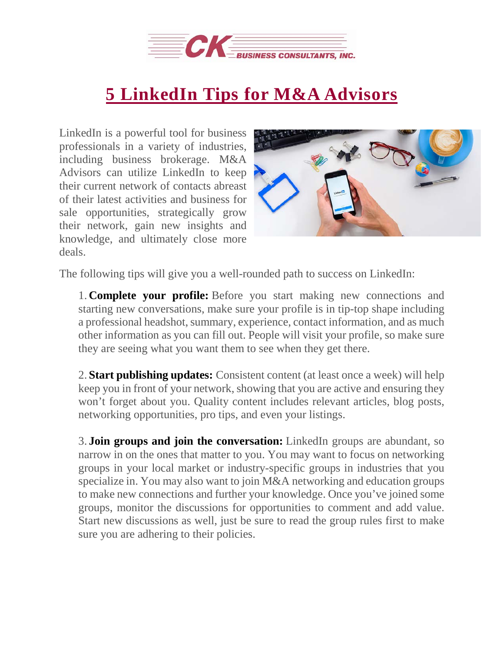

## **5 [LinkedIn](https://deal-studio.com/5-linkedin-tips-for-business-brokers/) Tips for M&A Advisors**

LinkedIn is a powerful tool for business professionals in a variety of industries, including business brokerage. M&A Advisors can utilize LinkedIn to keep their current network of contacts abreast of their latest activities and business for sale opportunities, strategically grow their network, gain new insights and knowledge, and ultimately close more deals.



The following tips will give you a well-rounded path to success on LinkedIn:

1. **Complete your profile:** Before you start making new connections and starting new conversations, make sure your profile is in tip-top shape including a professional headshot, summary, experience, contact information, and as much other information as you can fill out. People will visit your profile, so make sure they are seeing what you want them to see when they get there.

2. **Start publishing updates:** Consistent content (at least once a week) will help keep you in front of your network, showing that you are active and ensuring they won't forget about you. Quality content includes relevant articles, blog posts, networking opportunities, pro tips, and even your listings.

3. **Join groups and join the conversation:** LinkedIn groups are abundant, so narrow in on the ones that matter to you. You may want to focus on networking groups in your local market or industry-specific groups in industries that you specialize in. You may also want to join M&A networking and education groups to make new connections and further your knowledge. Once you've joined some groups, monitor the discussions for opportunities to comment and add value. Start new discussions as well, just be sure to read the group rules first to make sure you are adhering to their policies.